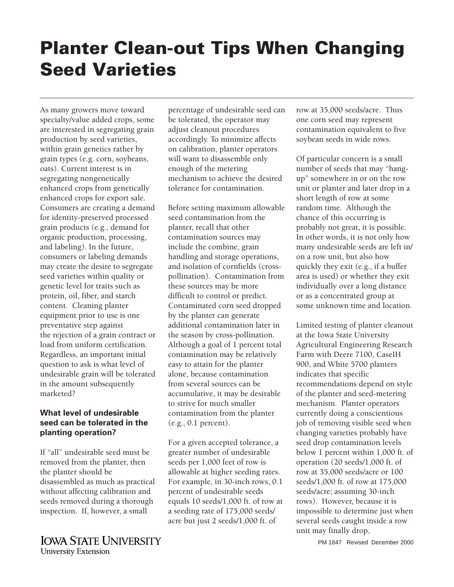# **Planter Clean-out Tips When Changing Seed Varieties**

As many growers move toward specialty/value added crops, some are interested in segregating grain production by seed varieties, within grain genetics rather by grain types (e.g. corn, soybeans, oats). Current interest is in segregating nongenetically enhanced crops from genetically enhanced crops for export sale. Consumers are creating a demand for identity-preserved processed grain products (e.g., demand for organic production, processing, and labeling). In the future, consumers or labeling demands may create the desire to segregate seed varieties within quality or genetic level for traits such as protein, oil, fiber, and starch content. Cleaning planter equipment prior to use is one preventative step against the rejection of a grain contract or load from uniform certification. Regardless, an important initial question to ask is what level of undesirable grain will be tolerated in the amount subsequently marketed?

# **What level of undesirable seed can be tolerated in the planting operation?**

If "all" undesirable seed must be removed from the planter, then the planter should be disassembled as much as practical without affecting calibration and seeds removed during a thorough inspection. If, however, a small

**IOWA STATE UNIVERSITY University Extension** 

percentage of undesirable seed can be tolerated, the operator may adjust cleanout procedures accordingly. To minimize affects on calibration, planter operators will want to disassemble only enough of the metering mechanism to achieve the desired tolerance for contamination.

Before setting maximum allowable seed contamination from the planter, recall that other contamination sources may include the combine, grain handling and storage operations, and isolation of cornfields (crosspollination). Contamination from these sources may be more difficult to control or predict. Contaminated corn seed dropped by the planter can generate additional contamination later in the season by cross-pollination. Although a goal of 1 percent total contamination may be relatively easy to attain for the planter alone, because contamination from several sources can be accumulative, it may be desirable to strive for much smaller contamination from the planter (e.g., 0.1 percent).

For a given accepted tolerance, a greater number of undesirable seeds per 1,000 feet of row is allowable at higher seeding rates. For example, in 30-inch rows, 0.1 percent of undesirable seeds equals 10 seeds/1,000 ft. of row at a seeding rate of 175,000 seeds/ acre but just 2 seeds/1,000 ft. of

row at 35,000 seeds/acre. Thus one corn seed may represent contamination equivalent to five soybean seeds in wide rows.

Of particular concern is a small number of seeds that may "hangup" somewhere in or on the row unit or planter and later drop in a short length of row at some random time. Although the chance of this occurring is probably not great, it is possible. In other words, it is not only how many undesirable seeds are left in/ on a row unit, but also how quickly they exit (e.g., if a buffer area is used) or whether they exit individually over a long distance or as a concentrated group at some unknown time and location.

Limited testing of planter cleanout at the Iowa State University Agricultural Engineering Research Farm with Deere 7100, CaseIH 900, and White 5700 planters indicates that specific recommendations depend on style of the planter and seed-metering mechanism. Planter operators currently doing a conscientious job of removing visible seed when changing varieties probably have seed drop contamination levels below 1 percent within 1,000 ft. of operation (20 seeds/1,000 ft. of row at 35,000 seeds/acre or 100 seeds/1,000 ft. of row at 175,000 seeds/acre; assuming 30-inch rows). However, because it is impossible to determine just when several seeds caught inside a row unit may finally drop,

PM 1847 Revised December 2000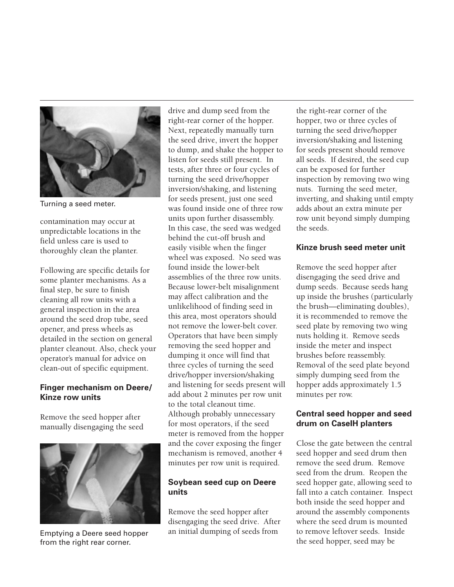

Turning a seed meter.

contamination may occur at unpredictable locations in the field unless care is used to thoroughly clean the planter.

Following are specific details for some planter mechanisms. As a final step, be sure to finish cleaning all row units with a general inspection in the area around the seed drop tube, seed opener, and press wheels as detailed in the section on general planter cleanout. Also, check your operator's manual for advice on clean-out of specific equipment.

# **Finger mechanism on Deere/ Kinze row units**

Remove the seed hopper after manually disengaging the seed



Emptying a Deere seed hopper from the right rear corner.

drive and dump seed from the right-rear corner of the hopper. Next, repeatedly manually turn the seed drive, invert the hopper to dump, and shake the hopper to listen for seeds still present. In tests, after three or four cycles of turning the seed drive/hopper inversion/shaking, and listening for seeds present, just one seed was found inside one of three row units upon further disassembly. In this case, the seed was wedged behind the cut-off brush and easily visible when the finger wheel was exposed. No seed was found inside the lower-belt assemblies of the three row units. Because lower-belt misalignment may affect calibration and the unlikelihood of finding seed in this area, most operators should not remove the lower-belt cover. Operators that have been simply removing the seed hopper and dumping it once will find that three cycles of turning the seed drive/hopper inversion/shaking and listening for seeds present will add about 2 minutes per row unit to the total cleanout time. Although probably unnecessary for most operators, if the seed meter is removed from the hopper and the cover exposing the finger mechanism is removed, another 4 minutes per row unit is required.

# **Soybean seed cup on Deere units**

Remove the seed hopper after disengaging the seed drive. After an initial dumping of seeds from

the right-rear corner of the hopper, two or three cycles of turning the seed drive/hopper inversion/shaking and listening for seeds present should remove all seeds. If desired, the seed cup can be exposed for further inspection by removing two wing nuts. Turning the seed meter, inverting, and shaking until empty adds about an extra minute per row unit beyond simply dumping the seeds.

## **Kinze brush seed meter unit**

Remove the seed hopper after disengaging the seed drive and dump seeds. Because seeds hang up inside the brushes (particularly the brush—eliminating doubles), it is recommended to remove the seed plate by removing two wing nuts holding it. Remove seeds inside the meter and inspect brushes before reassembly. Removal of the seed plate beyond simply dumping seed from the hopper adds approximately 1.5 minutes per row.

## **Central seed hopper and seed drum on CaseIH planters**

Close the gate between the central seed hopper and seed drum then remove the seed drum. Remove seed from the drum. Reopen the seed hopper gate, allowing seed to fall into a catch container. Inspect both inside the seed hopper and around the assembly components where the seed drum is mounted to remove leftover seeds. Inside the seed hopper, seed may be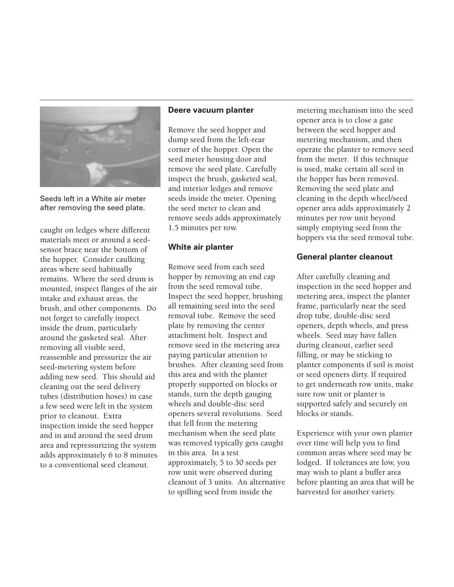

Seeds left in a White air meter after removing the seed plate.

caught on ledges where different materials meet or around a seedsensor brace near the bottom of the hopper. Consider caulking areas where seed habitually remains. Where the seed drum is mounted, inspect flanges of the air intake and exhaust areas, the brush, and other components. Do not forget to carefully inspect inside the drum, particularly around the gasketed seal. After removing all visible seed, reassemble and pressurize the air seed-metering system before adding new seed. This should aid cleaning out the seed delivery tubes (distribution hoses) in case a few seed were left in the system prior to cleanout. Extra inspection inside the seed hopper and in and around the seed drum area and repressurizing the system adds approximately 6 to 8 minutes to a conventional seed cleanout.

#### **Deere vacuum planter**

Remove the seed hopper and dump seed from the left-rear corner of the hopper. Open the seed meter housing door and remove the seed plate. Carefully inspect the brush, gasketed seal, and interior ledges and remove seeds inside the meter. Opening the seed meter to clean and remove seeds adds approximately 1.5 minutes per row.

#### **White air planter**

Remove seed from each seed hopper by removing an end cap from the seed removal tube. Inspect the seed hopper, brushing all remaining seed into the seed removal tube. Remove the seed plate by removing the center attachment bolt. Inspect and remove seed in the metering area paying particular attention to brushes. After cleaning seed from this area and with the planter properly supported on blocks or stands, turn the depth gauging wheels and double-disc seed openers several revolutions. Seed that fell from the metering mechanism when the seed plate was removed typically gets caught in this area. In a test approximately, 5 to 30 seeds per row unit were observed during cleanout of 3 units. An alternative to spilling seed from inside the

metering mechanism into the seed opener area is to close a gate between the seed hopper and metering mechanism, and then operate the planter to remove seed from the meter. If this technique is used, make certain all seed in the hopper has been removed. Removing the seed plate and cleaning in the depth wheel/seed opener area adds approximately 2 minutes per row unit beyond simply emptying seed from the hoppers via the seed removal tube.

## **General planter cleanout**

After carefully cleaning and inspection in the seed hopper and metering area, inspect the planter frame, particularly near the seed drop tube, double-disc seed openers, depth wheels, and press wheels. Seed may have fallen during cleanout, earlier seed filling, or may be sticking to planter components if soil is moist or seed openers dirty. If required to get underneath row units, make sure row unit or planter is supported safely and securely on blocks or stands.

Experience with your own planter over time will help you to find common areas where seed may be lodged. If tolerances are low, you may wish to plant a buffer area before planting an area that will be harvested for another variety.